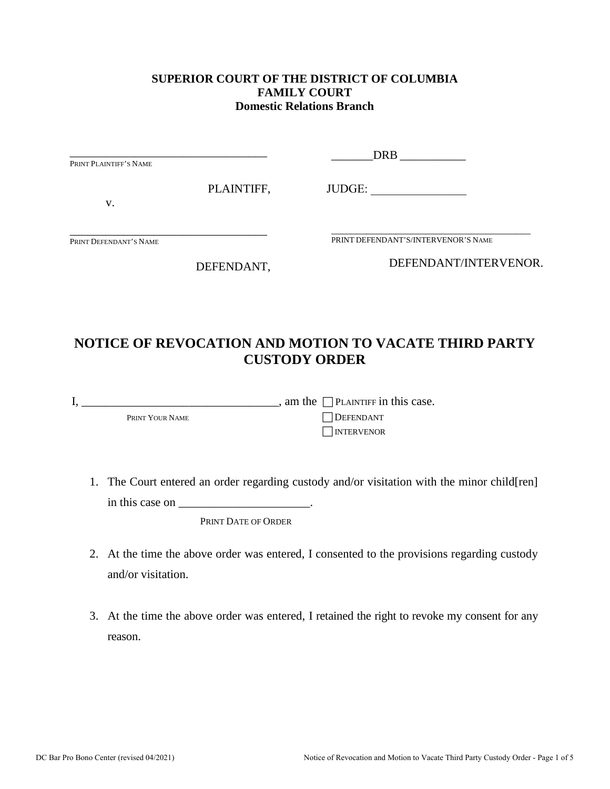#### **SUPERIOR COURT OF THE DISTRICT OF COLUMBIA FAMILY COURT Domestic Relations Branch**

| PRINT PLAINTIFF'S NAME |            | <b>DRB</b>                          |
|------------------------|------------|-------------------------------------|
|                        | PLAINTIFF, | JUDGE:                              |
| V.                     |            |                                     |
| PRINT DEFENDANT'S NAME |            | PRINT DEFENDANT'S/INTERVENOR'S NAME |
|                        | DEFENDANT, | DEFENDANT/INTERVENOR.               |

## **NOTICE OF REVOCATION AND MOTION TO VACATE THIRD PARTY CUSTODY ORDER**

|                 | , am the $\Box$ PLAINTIFF in this case. |
|-----------------|-----------------------------------------|
| PRINT YOUR NAME | <b>DEFENDANT</b>                        |
|                 | <b>INTERVENOR</b>                       |

1. The Court entered an order regarding custody and/or visitation with the minor child[ren] in this case on \_\_\_\_\_\_\_\_\_\_\_\_\_\_\_\_\_\_\_\_\_\_\_\_\_.

PRINT DATE OF ORDER

- 2. At the time the above order was entered, I consented to the provisions regarding custody and/or visitation.
- 3. At the time the above order was entered, I retained the right to revoke my consent for any reason.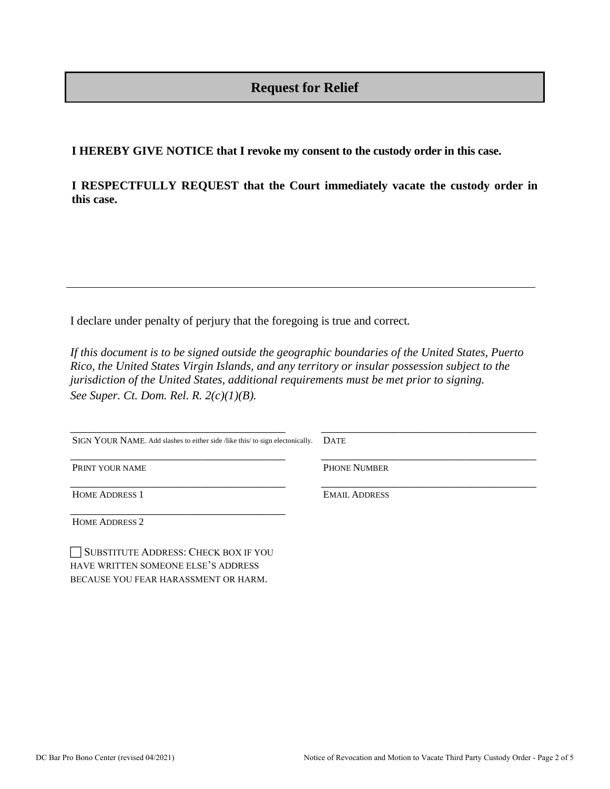## **Request for Relief**

**I HEREBY GIVE NOTICE that I revoke my consent to the custody order in this case.**

**I RESPECTFULLY REQUEST that the Court immediately vacate the custody order in this case.**

I declare under penalty of perjury that the foregoing is true and correct*.* 

*If this document is to be signed outside the geographic boundaries of the United States, Puerto Rico, the United States Virgin Islands, and any territory or insular possession subject to the jurisdiction of the United States, additional requirements must be met prior to signing. See Super. Ct. Dom. Rel. R. 2(c)(1)(B).*

\_\_\_\_\_\_\_\_\_\_\_\_\_\_\_\_\_\_\_\_\_\_\_\_\_\_\_\_\_\_\_\_\_\_\_\_ SIGN YOUR NAME. Add slashes to either side /like this/ to sign electonically. DATE

\_\_\_\_\_\_\_\_\_\_\_\_\_\_\_\_\_\_\_\_\_\_\_\_\_\_\_\_\_\_\_\_\_\_\_\_

PRINT YOUR NAME

\_\_\_\_\_\_\_\_\_\_\_\_\_\_\_\_\_\_\_\_\_\_\_\_\_\_\_\_\_\_\_\_\_\_\_\_ PHONE NUMBER

EMAIL ADDRESS

\_\_\_\_\_\_\_\_\_\_\_\_\_\_\_\_\_\_\_\_\_\_\_\_\_\_\_\_\_\_\_\_\_\_\_\_ HOME ADDRESS 1

\_\_\_\_\_\_\_\_\_\_\_\_\_\_\_\_\_\_\_\_\_\_\_\_\_\_\_\_\_\_\_\_\_\_\_\_ HOME ADDRESS 2

SUBSTITUTE ADDRESS: CHECK BOX IF YOU HAVE WRITTEN SOMEONE ELSE'S ADDRESS BECAUSE YOU FEAR HARASSMENT OR HARM.

\_\_\_\_\_\_\_\_\_\_\_\_\_\_\_\_\_\_\_\_\_\_\_\_\_\_\_\_\_\_\_\_\_\_\_\_

\_\_\_\_\_\_\_\_\_\_\_\_\_\_\_\_\_\_\_\_\_\_\_\_\_\_\_\_\_\_\_\_\_\_\_\_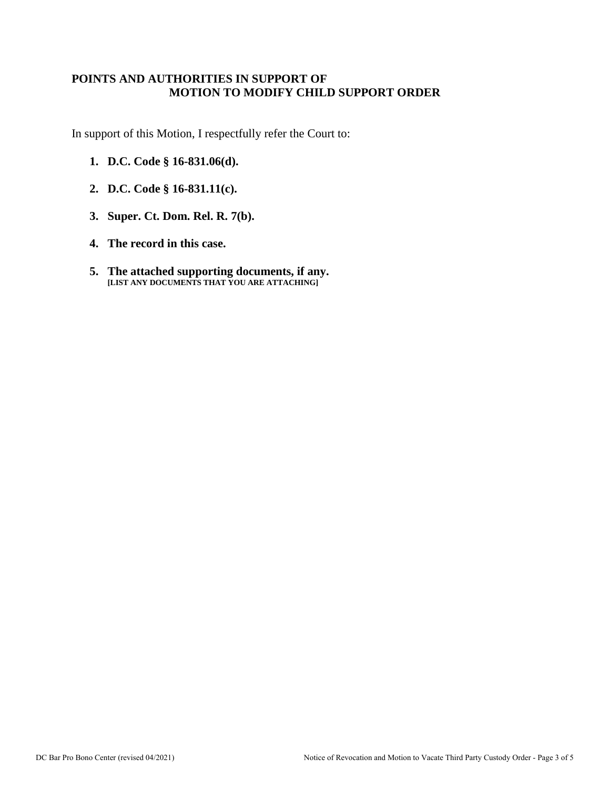#### **POINTS AND AUTHORITIES IN SUPPORT OF MOTION TO MODIFY CHILD SUPPORT ORDER**

In support of this Motion, I respectfully refer the Court to:

- **1. D.C. Code § 16-831.06(d).**
- **2. D.C. Code § 16-831.11(c).**
- **3. Super. Ct. Dom. Rel. R. 7(b).**
- **4. The record in this case.**
- **5. The attached supporting documents, if any. [LIST ANY DOCUMENTS THAT YOU ARE ATTACHING]**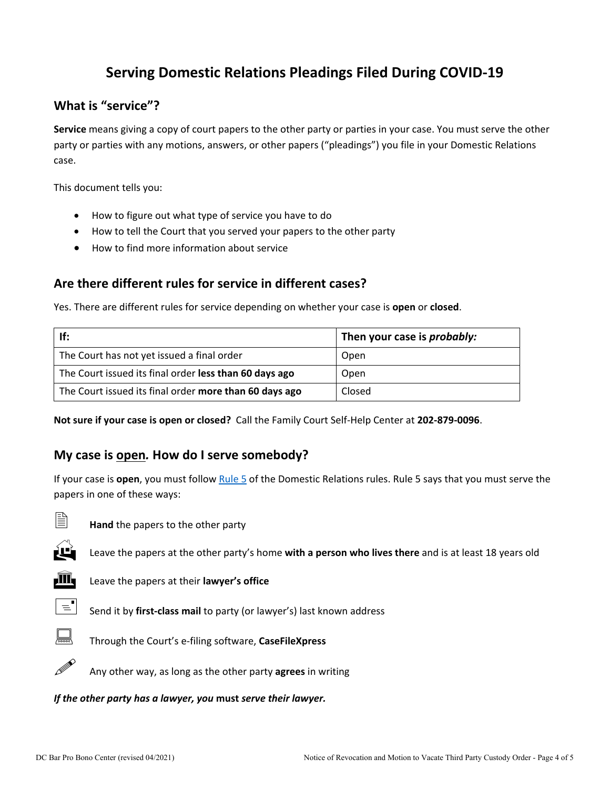# **Serving Domestic Relations Pleadings Filed During COVID-19**

## **What is "service"?**

**Service** means giving a copy of court papers to the other party or parties in your case. You must serve the other party or parties with any motions, answers, or other papers ("pleadings") you file in your Domestic Relations case.

This document tells you:

- How to figure out what type of service you have to do
- How to tell the Court that you served your papers to the other party
- How to find more information about service

### **Are there different rules for service in different cases?**

Yes. There are different rules for service depending on whether your case is **open** or **closed**.

| If:                                                    | Then your case is <i>probably:</i> |
|--------------------------------------------------------|------------------------------------|
| The Court has not yet issued a final order             | Open                               |
| The Court issued its final order less than 60 days ago | Open                               |
| The Court issued its final order more than 60 days ago | Closed                             |

**Not sure if your case is open or closed?** Call the Family Court Self-Help Center at **202-879-0096**.

#### **My case is open***.* **How do I serve somebody?**

If your case is **open**, you must follow [Rule 5](http://www.dccourts.gov/sites/default/files/rules-superior-court/DR%20Rule%205.%20Serving%20and%20Filing%20of%20Other%20Pleadings%20and%20Papers.pdf) of the Domestic Relations rules. Rule 5 says that you must serve the papers in one of these ways:



**Hand** the papers to the other party



Leave the papers at the other party's home **with a person who lives there** and is at least 18 years old



**III** Leave the papers at their **lawyer's office** 



 $\equiv$  Send it by **first-class mail** to party (or lawyer's) last known address



Through the Court's e-filing software, **CaseFileXpress**



Any other way, as long as the other party **agrees** in writing

*If the other party has a lawyer, you* **must** *serve their lawyer.*